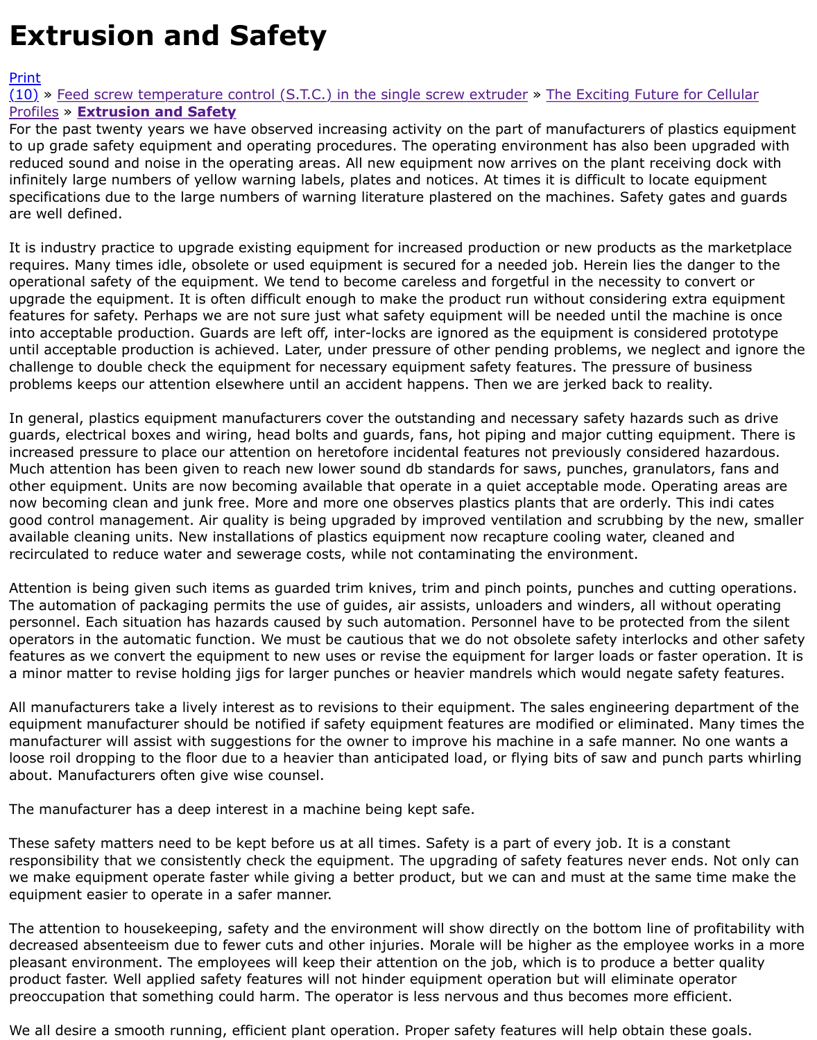to up grade safety equipment and operating procedures. The operating environment has also been  $\mathsf{u}$ reduced sound and noise in the operating areas. All new equipment now arrives on the plant receivi infinitely large numbers of yellow warning labels, plates and notices. At times it is difficult to locate specifications due to the large numbers of warning literature plastered on the machines. Safety gate [are w](http://extrusionwiki.com/wiki/Print.aspx?Page=CC%20V13-2-A)ell defined.

It is industry practice to upgrade existing equipment for increased production or new products as the requires. Many times idle, obsolete or used equipment is secured for a needed job. Herein lies the d operational safety of the equipment. We tend to become careless and forgetful in the necessity to co upgrade the equipment. It is often difficult enough to make the product run without considering ext features for safety. Perhaps we are not sure just what safety equipment will be needed until the ma into acceptable production. Guards are left off, inter-locks are ignored as the equipment is considere until acceptable production is achieved. Later, under pressure of other pending problems, we negled challenge to double check the equipment for necessary equipment safety features. The pressure of problems keeps our attention elsewhere until an accident happens. Then we are jerked back to real

In general, plastics equipment manufacturers cover the outstanding and necessary safety hazards s guards, electrical boxes and wiring, head bolts and guards, fans, hot piping and major cutting equip increased pressure to place our attention on heretofore incidental features not previously considere Much attention has been given to reach new lower sound db standards for saws, punches, granulato other equipment. Units are now becoming available that operate in a quiet acceptable mode. Operating areas area now becoming clean and junk free. More and more one observes plastics plants that are orderly. Th good control management. Air quality is being upgraded by improved ventilation and scrubbing by t available cleaning units. New installations of plastics equipment now recapture cooling water, cleane recirculated to reduce water and sewerage costs, while not contaminating the environment.

Attention is being given such items as guarded trim knives, trim and pinch points, punches and cutt The automation of packaging permits the use of guides, air assists, unloaders and winders, all witho personnel. Each situation has hazards caused by such automation. Personnel have to be protected f operators in the automatic function. We must be cautious that we do not obsolete safety interlocks features as we convert the equipment to new uses or revise the equipment for larger loads or faster a minor matter to revise holding jigs for larger punches or heavier mandrels which would negate sa

All manufacturers take a lively interest as to revisions to their equipment. The sales engineering de equipment manufacturer should be notified if safety equipment features are modified or eliminated. manufacturer will assist with suggestions for the owner to improve his machine in a safe manner. No loose roil dropping to the floor due to a heavier than anticipated load, or flying bits of saw and punc about. Manufacturers often give wise counsel.

The manufacturer has a deep interest in a machine being kept safe.

These safety matters need to be kept before us at all times. Safety is a part of every job. It is a con responsibility that we consistently check the equipment. The upgrading of safety features never end we make equipment operate faster while giving a better product, but we can and must at the same equipment easier to operate in a safer manner.

The attention to housekeeping, safety and the environment will show directly on the bottom line of decreased absenteeism due to fewer cuts and other injuries. Morale will be higher as the employee pleasant environment. The employees will keep their attention on the job, which is to produce a bet product faster. Well applied safety features will not hinder equipment operation but will eliminate op preoccupation that something could harm. The operator is less nervous and thus becomes more effi

We all desire a smooth running, efficient plant operation. Proper safety features will help obtain the: